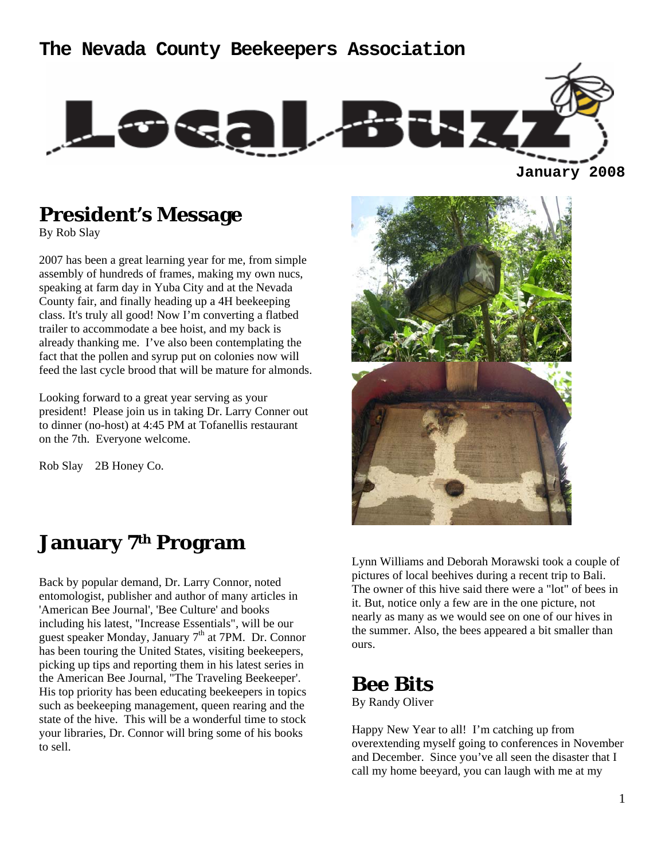#### **The Nevada County Beekeepers Association**



**January 2008**

## **President's Message**

By Rob Slay

2007 has been a great learning year for me, from simple assembly of hundreds of frames, making my own nucs, speaking at farm day in Yuba City and at the Nevada County fair, and finally heading up a 4H beekeeping class. It's truly all good! Now I'm converting a flatbed trailer to accommodate a bee hoist, and my back is already thanking me. I've also been contemplating the fact that the pollen and syrup put on colonies now will feed the last cycle brood that will be mature for almonds.

Looking forward to a great year serving as your president! Please join us in taking Dr. Larry Conner out to dinner (no-host) at 4:45 PM at Tofanellis restaurant on the 7th. Everyone welcome.

Rob Slay 2B Honey Co.

### **January 7th Program**

Back by popular demand, Dr. Larry Connor, noted entomologist, publisher and author of many articles in 'American Bee Journal', 'Bee Culture' and books including his latest, "Increase Essentials", will be our guest speaker Monday, January  $7<sup>th</sup>$  at 7PM. Dr. Connor has been touring the United States, visiting beekeepers, picking up tips and reporting them in his latest series in the American Bee Journal, "The Traveling Beekeeper'. His top priority has been educating beekeepers in topics such as beekeeping management, queen rearing and the state of the hive. This will be a wonderful time to stock your libraries, Dr. Connor will bring some of his books to sell.



Lynn Williams and Deborah Morawski took a couple of pictures of local beehives during a recent trip to Bali. The owner of this hive said there were a "lot" of bees in it. But, notice only a few are in the one picture, not nearly as many as we would see on one of our hives in the summer. Also, the bees appeared a bit smaller than ours.

### **Bee Bits**

By Randy Oliver

Happy New Year to all! I'm catching up from overextending myself going to conferences in November and December. Since you've all seen the disaster that I call my home beeyard, you can laugh with me at my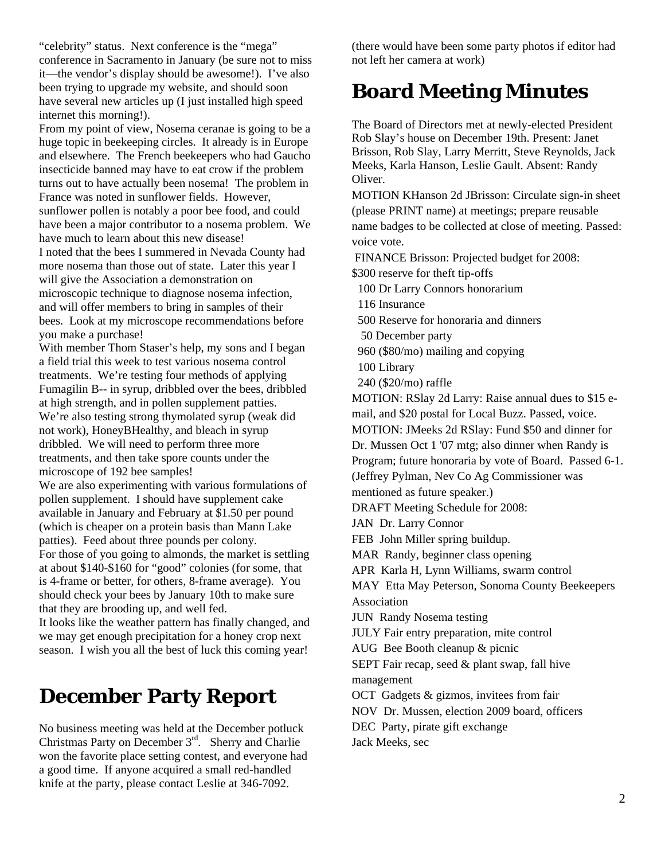"celebrity" status. Next conference is the "mega" conference in Sacramento in January (be sure not to miss it—the vendor's display should be awesome!). I've also been trying to upgrade my website, and should soon have several new articles up (I just installed high speed internet this morning!).

From my point of view, Nosema ceranae is going to be a huge topic in beekeeping circles. It already is in Europe and elsewhere. The French beekeepers who had Gaucho insecticide banned may have to eat crow if the problem turns out to have actually been nosema! The problem in France was noted in sunflower fields. However, sunflower pollen is notably a poor bee food, and could have been a major contributor to a nosema problem. We have much to learn about this new disease! I noted that the bees I summered in Nevada County had more nosema than those out of state. Later this year I will give the Association a demonstration on microscopic technique to diagnose nosema infection, and will offer members to bring in samples of their bees. Look at my microscope recommendations before you make a purchase!

With member Thom Staser's help, my sons and I began a field trial this week to test various nosema control treatments. We're testing four methods of applying Fumagilin B-- in syrup, dribbled over the bees, dribbled at high strength, and in pollen supplement patties. We're also testing strong thymolated syrup (weak did not work), HoneyBHealthy, and bleach in syrup dribbled. We will need to perform three more treatments, and then take spore counts under the microscope of 192 bee samples!

We are also experimenting with various formulations of pollen supplement. I should have supplement cake available in January and February at \$1.50 per pound (which is cheaper on a protein basis than Mann Lake patties). Feed about three pounds per colony. For those of you going to almonds, the market is settling at about \$140-\$160 for "good" colonies (for some, that is 4-frame or better, for others, 8-frame average). You should check your bees by January 10th to make sure that they are brooding up, and well fed.

It looks like the weather pattern has finally changed, and we may get enough precipitation for a honey crop next season. I wish you all the best of luck this coming year!

## **December Party Report**

No business meeting was held at the December potluck Christmas Party on December 3<sup>rd</sup>. Sherry and Charlie won the favorite place setting contest, and everyone had a good time. If anyone acquired a small red-handled knife at the party, please contact Leslie at 346-7092.

(there would have been some party photos if editor had not left her camera at work)

## **Board Meeting Minutes**

The Board of Directors met at newly-elected President Rob Slay's house on December 19th. Present: Janet Brisson, Rob Slay, Larry Merritt, Steve Reynolds, Jack Meeks, Karla Hanson, Leslie Gault. Absent: Randy Oliver.

MOTION KHanson 2d JBrisson: Circulate sign-in sheet (please PRINT name) at meetings; prepare reusable name badges to be collected at close of meeting. Passed: voice vote.

FINANCE Brisson: Projected budget for 2008:

\$300 reserve for theft tip-offs

100 Dr Larry Connors honorarium

116 Insurance

500 Reserve for honoraria and dinners

50 December party

960 (\$80/mo) mailing and copying

100 Library

240 (\$20/mo) raffle

MOTION: RSlay 2d Larry: Raise annual dues to \$15 email, and \$20 postal for Local Buzz. Passed, voice.

MOTION: JMeeks 2d RSlay: Fund \$50 and dinner for Dr. Mussen Oct 1 '07 mtg; also dinner when Randy is

Program; future honoraria by vote of Board. Passed 6-1.

(Jeffrey Pylman, Nev Co Ag Commissioner was

mentioned as future speaker.)

DRAFT Meeting Schedule for 2008:

JAN Dr. Larry Connor

FEB John Miller spring buildup.

MAR Randy, beginner class opening

APR Karla H, Lynn Williams, swarm control

MAY Etta May Peterson, Sonoma County Beekeepers Association

JUN Randy Nosema testing

JULY Fair entry preparation, mite control

AUG Bee Booth cleanup & picnic

SEPT Fair recap, seed & plant swap, fall hive management

OCT Gadgets & gizmos, invitees from fair

NOV Dr. Mussen, election 2009 board, officers

DEC Party, pirate gift exchange

Jack Meeks, sec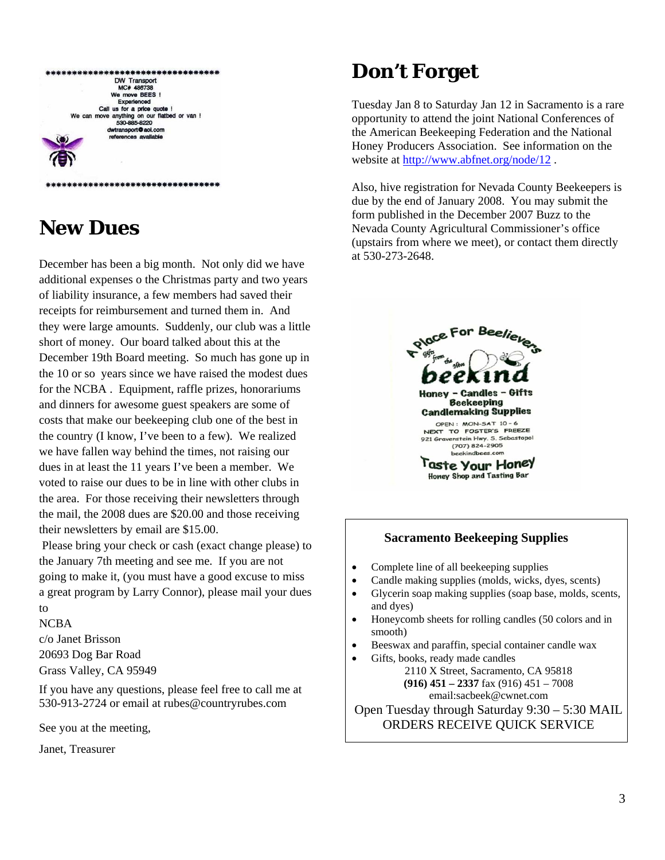| DW Transport                                                 |
|--------------------------------------------------------------|
| MC# 486738                                                   |
| We move BEES !                                               |
| Experienced                                                  |
| Call us for a price quote !                                  |
| We can move anything on our flatbed or van !<br>530-885-8220 |
| dwtransport @aol.com                                         |
| references available                                         |
|                                                              |

\*\*\*\*\*\*\*\*\*\*\*\*\*\*\*\*\*\*\*\*\*\*\*\*\*\*\*\*\*\*\*\*\*

# **New Dues**

December has been a big month. Not only did we have additional expenses o the Christmas party and two years of liability insurance, a few members had saved their receipts for reimbursement and turned them in. And they were large amounts. Suddenly, our club was a little short of money. Our board talked about this at the December 19th Board meeting. So much has gone up in the 10 or so years since we have raised the modest dues for the NCBA . Equipment, raffle prizes, honorariums and dinners for awesome guest speakers are some of costs that make our beekeeping club one of the best in the country (I know, I've been to a few). We realized we have fallen way behind the times, not raising our dues in at least the 11 years I've been a member. We voted to raise our dues to be in line with other clubs in the area. For those receiving their newsletters through the mail, the 2008 dues are \$20.00 and those receiving their newsletters by email are \$15.00.

 Please bring your check or cash (exact change please) to the January 7th meeting and see me. If you are not going to make it, (you must have a good excuse to miss a great program by Larry Connor), please mail your dues to

#### NCBA

c/o Janet Brisson 20693 Dog Bar Road Grass Valley, CA 95949

If you have any questions, please feel free to call me at 530-913-2724 or email at rubes@countryrubes.com

See you at the meeting,

Janet, Treasurer

# **Don't Forget**

Tuesday Jan 8 to Saturday Jan 12 in Sacramento is a rare opportunity to attend the joint National Conferences of the American Beekeeping Federation and the National Honey Producers Association. See information on the website at http://www.abfnet.org/node/12.

Also, hive registration for Nevada County Beekeepers is due by the end of January 2008. You may submit the form published in the December 2007 Buzz to the Nevada County Agricultural Commissioner's office (upstairs from where we meet), or contact them directly at 530-273-2648.



#### **Sacramento Beekeeping Supplies**

- Complete line of all beekeeping supplies
- Candle making supplies (molds, wicks, dyes, scents)
- Glycerin soap making supplies (soap base, molds, scents, and dyes)
- Honeycomb sheets for rolling candles (50 colors and in smooth)
- Beeswax and paraffin, special container candle wax
- Gifts, books, ready made candles 2110 X Street, Sacramento, CA 95818 **(916) 451 – 2337** fax (916) 451 – 7008 email:sacbeek@cwnet.com

Open Tuesday through Saturday 9:30 – 5:30 MAIL ORDERS RECEIVE QUICK SERVICE